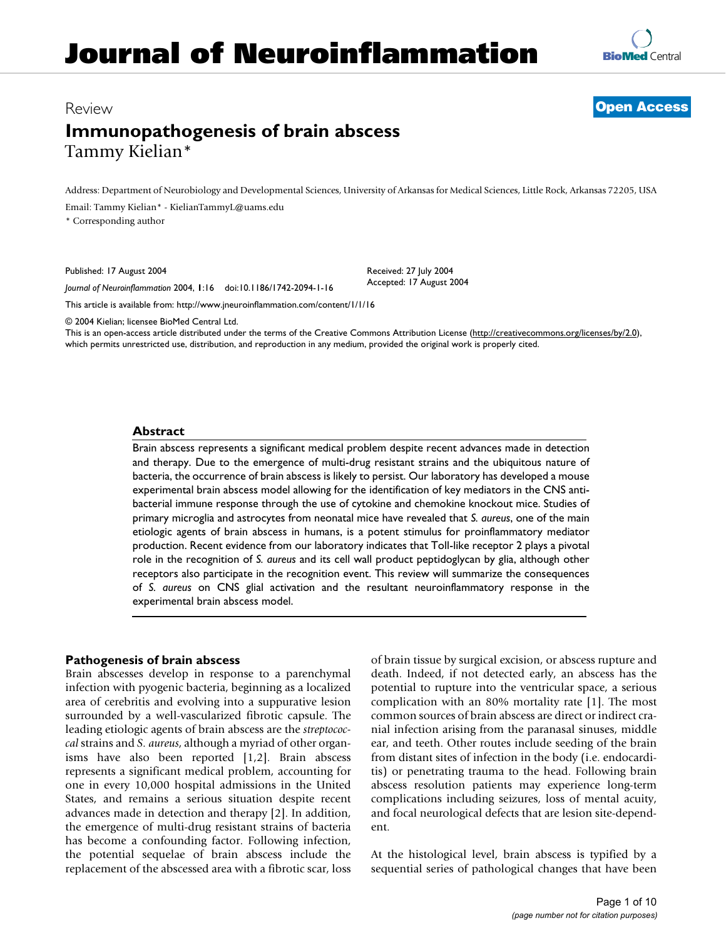# Review **[Open Access](http://www.biomedcentral.com/info/about/charter/) Immunopathogenesis of brain abscess** Tammy Kielian\*

Address: Department of Neurobiology and Developmental Sciences, University of Arkansas for Medical Sciences, Little Rock, Arkansas 72205, USA

Email: Tammy Kielian\* - KielianTammyL@uams.edu

\* Corresponding author

Published: 17 August 2004

Received: 27 July 2004 Accepted: 17 August 2004

[This article is available from: http://www.jneuroinflammation.com/content/1/1/16](http://www.jneuroinflammation.com/content/1/1/16)

*Journal of Neuroinflammation* 2004, **1**:16 doi:10.1186/1742-2094-1-16

© 2004 Kielian; licensee BioMed Central Ltd.

This is an open-access article distributed under the terms of the Creative Commons Attribution License (<http://creativecommons.org/licenses/by/2.0>), which permits unrestricted use, distribution, and reproduction in any medium, provided the original work is properly cited.

#### **Abstract**

Brain abscess represents a significant medical problem despite recent advances made in detection and therapy. Due to the emergence of multi-drug resistant strains and the ubiquitous nature of bacteria, the occurrence of brain abscess is likely to persist. Our laboratory has developed a mouse experimental brain abscess model allowing for the identification of key mediators in the CNS antibacterial immune response through the use of cytokine and chemokine knockout mice. Studies of primary microglia and astrocytes from neonatal mice have revealed that *S. aureus*, one of the main etiologic agents of brain abscess in humans, is a potent stimulus for proinflammatory mediator production. Recent evidence from our laboratory indicates that Toll-like receptor 2 plays a pivotal role in the recognition of *S. aureus* and its cell wall product peptidoglycan by glia, although other receptors also participate in the recognition event. This review will summarize the consequences of *S. aureus* on CNS glial activation and the resultant neuroinflammatory response in the experimental brain abscess model.

#### **Pathogenesis of brain abscess**

Brain abscesses develop in response to a parenchymal infection with pyogenic bacteria, beginning as a localized area of cerebritis and evolving into a suppurative lesion surrounded by a well-vascularized fibrotic capsule. The leading etiologic agents of brain abscess are the *streptococcal* strains and *S. aureus*, although a myriad of other organisms have also been reported [1,2]. Brain abscess represents a significant medical problem, accounting for one in every 10,000 hospital admissions in the United States, and remains a serious situation despite recent advances made in detection and therapy [2]. In addition, the emergence of multi-drug resistant strains of bacteria has become a confounding factor. Following infection, the potential sequelae of brain abscess include the replacement of the abscessed area with a fibrotic scar, loss of brain tissue by surgical excision, or abscess rupture and death. Indeed, if not detected early, an abscess has the potential to rupture into the ventricular space, a serious complication with an 80% mortality rate [1]. The most common sources of brain abscess are direct or indirect cranial infection arising from the paranasal sinuses, middle ear, and teeth. Other routes include seeding of the brain from distant sites of infection in the body (i.e. endocarditis) or penetrating trauma to the head. Following brain abscess resolution patients may experience long-term complications including seizures, loss of mental acuity, and focal neurological defects that are lesion site-dependent.

At the histological level, brain abscess is typified by a sequential series of pathological changes that have been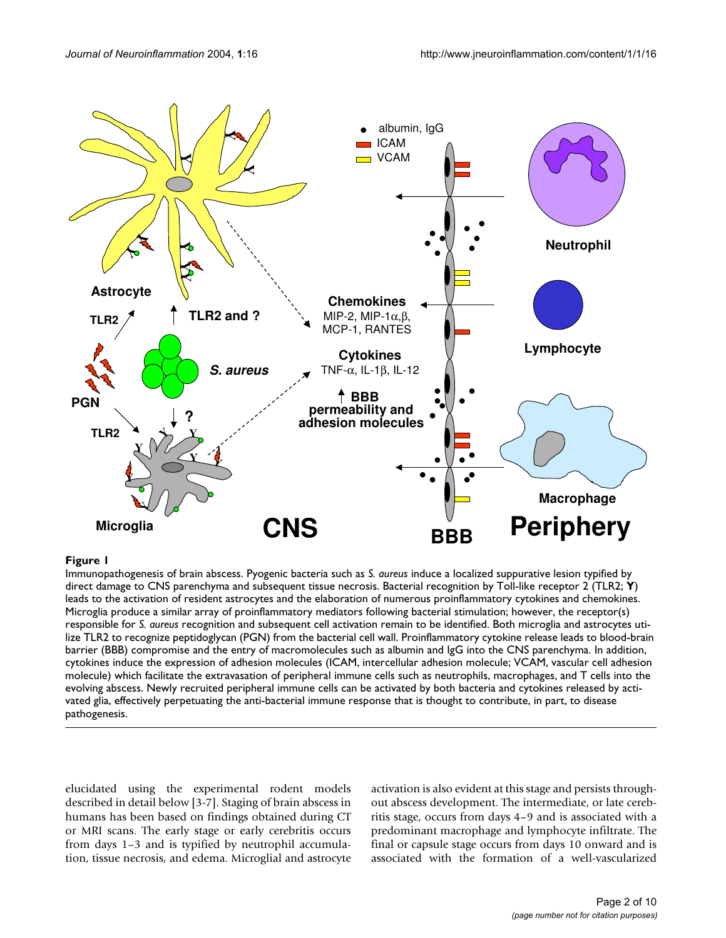

### **Figure 1**

Immunopathogenesis of brain abscess. Pyogenic bacteria such as *S. aureus* induce a localized suppurative lesion typified by direct damage to CNS parenchyma and subsequent tissue necrosis. Bacterial recognition by Toll-like receptor 2 (TLR2; **Y**) leads to the activation of resident astrocytes and the elaboration of numerous proinflammatory cytokines and chemokines. Microglia produce a similar array of proinflammatory mediators following bacterial stimulation; however, the receptor(s) responsible for *S. aureus* recognition and subsequent cell activation remain to be identified. Both microglia and astrocytes utilize TLR2 to recognize peptidoglycan (PGN) from the bacterial cell wall. Proinflammatory cytokine release leads to blood-brain barrier (BBB) compromise and the entry of macromolecules such as albumin and IgG into the CNS parenchyma. In addition, cytokines induce the expression of adhesion molecules (ICAM, intercellular adhesion molecule; VCAM, vascular cell adhesion molecule) which facilitate the extravasation of peripheral immune cells such as neutrophils, macrophages, and T cells into the evolving abscess. Newly recruited peripheral immune cells can be activated by both bacteria and cytokines released by activated glia, effectively perpetuating the anti-bacterial immune response that is thought to contribute, in part, to disease pathogenesis.

elucidated using the experimental rodent models described in detail below [3-7]. Staging of brain abscess in humans has been based on findings obtained during CT or MRI scans. The early stage or early cerebritis occurs from days 1–3 and is typified by neutrophil accumulation, tissue necrosis, and edema. Microglial and astrocyte activation is also evident at this stage and persists throughout abscess development. The intermediate, or late cerebritis stage, occurs from days 4–9 and is associated with a predominant macrophage and lymphocyte infiltrate. The final or capsule stage occurs from days 10 onward and is associated with the formation of a well-vascularized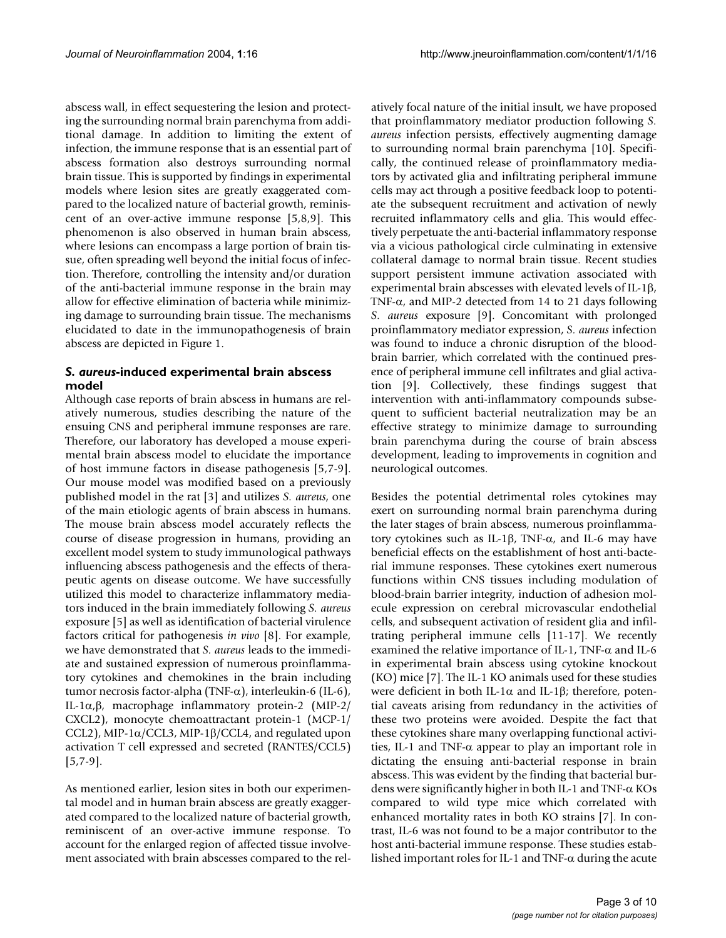abscess wall, in effect sequestering the lesion and protecting the surrounding normal brain parenchyma from additional damage. In addition to limiting the extent of infection, the immune response that is an essential part of abscess formation also destroys surrounding normal brain tissue. This is supported by findings in experimental models where lesion sites are greatly exaggerated compared to the localized nature of bacterial growth, reminiscent of an over-active immune response [5,8,9]. This phenomenon is also observed in human brain abscess, where lesions can encompass a large portion of brain tissue, often spreading well beyond the initial focus of infection. Therefore, controlling the intensity and/or duration of the anti-bacterial immune response in the brain may allow for effective elimination of bacteria while minimizing damage to surrounding brain tissue. The mechanisms elucidated to date in the immunopathogenesis of brain abscess are depicted in Figure 1.

## *S. aureus***-induced experimental brain abscess model**

Although case reports of brain abscess in humans are relatively numerous, studies describing the nature of the ensuing CNS and peripheral immune responses are rare. Therefore, our laboratory has developed a mouse experimental brain abscess model to elucidate the importance of host immune factors in disease pathogenesis [5,7-9]. Our mouse model was modified based on a previously published model in the rat [3] and utilizes *S. aureus*, one of the main etiologic agents of brain abscess in humans. The mouse brain abscess model accurately reflects the course of disease progression in humans, providing an excellent model system to study immunological pathways influencing abscess pathogenesis and the effects of therapeutic agents on disease outcome. We have successfully utilized this model to characterize inflammatory mediators induced in the brain immediately following *S. aureus* exposure [5] as well as identification of bacterial virulence factors critical for pathogenesis *in vivo* [8]. For example, we have demonstrated that *S. aureus* leads to the immediate and sustained expression of numerous proinflammatory cytokines and chemokines in the brain including tumor necrosis factor-alpha (TNF-α), interleukin-6 (IL-6), IL-1α,β, macrophage inflammatory protein-2 (MIP-2/ CXCL2), monocyte chemoattractant protein-1 (MCP-1/ CCL2), MIP-1 $\alpha$ /CCL3, MIP-1 $\beta$ /CCL4, and regulated upon activation T cell expressed and secreted (RANTES/CCL5) [5,7-9].

As mentioned earlier, lesion sites in both our experimental model and in human brain abscess are greatly exaggerated compared to the localized nature of bacterial growth, reminiscent of an over-active immune response. To account for the enlarged region of affected tissue involvement associated with brain abscesses compared to the relatively focal nature of the initial insult, we have proposed that proinflammatory mediator production following *S. aureus* infection persists, effectively augmenting damage to surrounding normal brain parenchyma [10]. Specifically, the continued release of proinflammatory mediators by activated glia and infiltrating peripheral immune cells may act through a positive feedback loop to potentiate the subsequent recruitment and activation of newly recruited inflammatory cells and glia. This would effectively perpetuate the anti-bacterial inflammatory response via a vicious pathological circle culminating in extensive collateral damage to normal brain tissue. Recent studies support persistent immune activation associated with experimental brain abscesses with elevated levels of IL-1β, TNF- $\alpha$ , and MIP-2 detected from 14 to 21 days following *S. aureus* exposure [9]. Concomitant with prolonged proinflammatory mediator expression, *S. aureus* infection was found to induce a chronic disruption of the bloodbrain barrier, which correlated with the continued presence of peripheral immune cell infiltrates and glial activation [9]. Collectively, these findings suggest that intervention with anti-inflammatory compounds subsequent to sufficient bacterial neutralization may be an effective strategy to minimize damage to surrounding brain parenchyma during the course of brain abscess development, leading to improvements in cognition and neurological outcomes.

Besides the potential detrimental roles cytokines may exert on surrounding normal brain parenchyma during the later stages of brain abscess, numerous proinflammatory cytokines such as IL-1β, TNF-α, and IL-6 may have beneficial effects on the establishment of host anti-bacterial immune responses. These cytokines exert numerous functions within CNS tissues including modulation of blood-brain barrier integrity, induction of adhesion molecule expression on cerebral microvascular endothelial cells, and subsequent activation of resident glia and infiltrating peripheral immune cells [11-17]. We recently examined the relative importance of IL-1, TNF-α and IL-6 in experimental brain abscess using cytokine knockout (KO) mice [7]. The IL-1 KO animals used for these studies were deficient in both IL-1 $\alpha$  and IL-1 $\beta$ ; therefore, potential caveats arising from redundancy in the activities of these two proteins were avoided. Despite the fact that these cytokines share many overlapping functional activities, IL-1 and TNF- $\alpha$  appear to play an important role in dictating the ensuing anti-bacterial response in brain abscess. This was evident by the finding that bacterial burdens were significantly higher in both IL-1 and TNF-α KOs compared to wild type mice which correlated with enhanced mortality rates in both KO strains [7]. In contrast, IL-6 was not found to be a major contributor to the host anti-bacterial immune response. These studies established important roles for IL-1 and TNF- $\alpha$  during the acute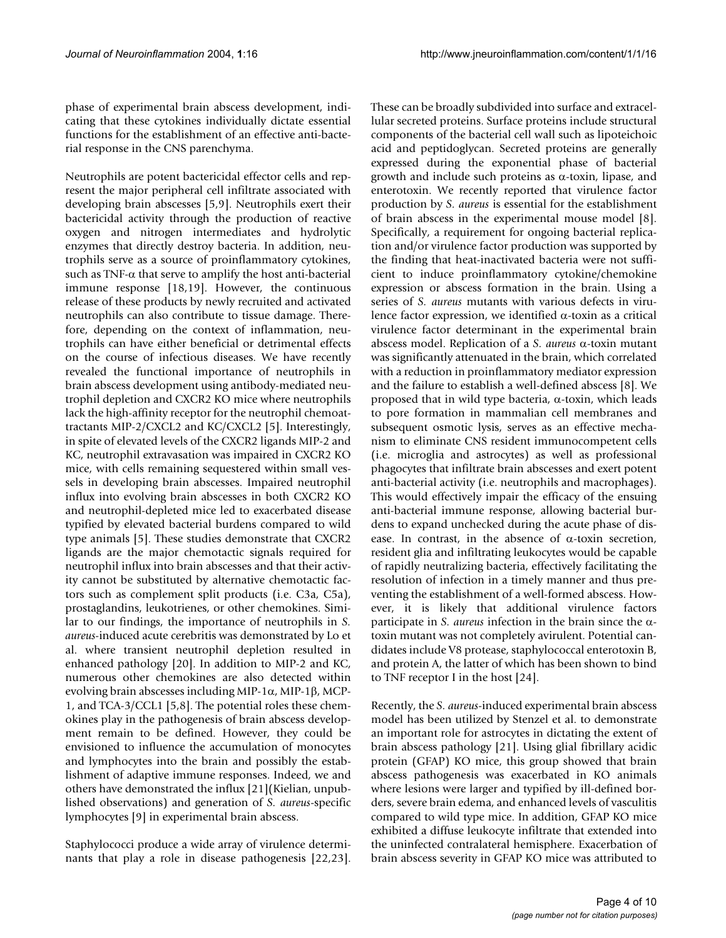phase of experimental brain abscess development, indicating that these cytokines individually dictate essential functions for the establishment of an effective anti-bacterial response in the CNS parenchyma.

Neutrophils are potent bactericidal effector cells and represent the major peripheral cell infiltrate associated with developing brain abscesses [5,9]. Neutrophils exert their bactericidal activity through the production of reactive oxygen and nitrogen intermediates and hydrolytic enzymes that directly destroy bacteria. In addition, neutrophils serve as a source of proinflammatory cytokines, such as TNF- $\alpha$  that serve to amplify the host anti-bacterial immune response [18,19]. However, the continuous release of these products by newly recruited and activated neutrophils can also contribute to tissue damage. Therefore, depending on the context of inflammation, neutrophils can have either beneficial or detrimental effects on the course of infectious diseases. We have recently revealed the functional importance of neutrophils in brain abscess development using antibody-mediated neutrophil depletion and CXCR2 KO mice where neutrophils lack the high-affinity receptor for the neutrophil chemoattractants MIP-2/CXCL2 and KC/CXCL2 [5]. Interestingly, in spite of elevated levels of the CXCR2 ligands MIP-2 and KC, neutrophil extravasation was impaired in CXCR2 KO mice, with cells remaining sequestered within small vessels in developing brain abscesses. Impaired neutrophil influx into evolving brain abscesses in both CXCR2 KO and neutrophil-depleted mice led to exacerbated disease typified by elevated bacterial burdens compared to wild type animals [5]. These studies demonstrate that CXCR2 ligands are the major chemotactic signals required for neutrophil influx into brain abscesses and that their activity cannot be substituted by alternative chemotactic factors such as complement split products (i.e. C3a, C5a), prostaglandins, leukotrienes, or other chemokines. Similar to our findings, the importance of neutrophils in *S. aureus*-induced acute cerebritis was demonstrated by Lo et al. where transient neutrophil depletion resulted in enhanced pathology [20]. In addition to MIP-2 and KC, numerous other chemokines are also detected within evolving brain abscesses including MIP-1α, MIP-1β, MCP-1, and TCA-3/CCL1 [5,8]. The potential roles these chemokines play in the pathogenesis of brain abscess development remain to be defined. However, they could be envisioned to influence the accumulation of monocytes and lymphocytes into the brain and possibly the establishment of adaptive immune responses. Indeed, we and others have demonstrated the influx [21](Kielian, unpublished observations) and generation of *S. aureus*-specific lymphocytes [9] in experimental brain abscess.

Staphylococci produce a wide array of virulence determinants that play a role in disease pathogenesis [22,23].

These can be broadly subdivided into surface and extracellular secreted proteins. Surface proteins include structural components of the bacterial cell wall such as lipoteichoic acid and peptidoglycan. Secreted proteins are generally expressed during the exponential phase of bacterial growth and include such proteins as α-toxin, lipase, and enterotoxin. We recently reported that virulence factor production by *S. aureus* is essential for the establishment of brain abscess in the experimental mouse model [8]. Specifically, a requirement for ongoing bacterial replication and/or virulence factor production was supported by the finding that heat-inactivated bacteria were not sufficient to induce proinflammatory cytokine/chemokine expression or abscess formation in the brain. Using a series of *S. aureus* mutants with various defects in virulence factor expression, we identified α-toxin as a critical virulence factor determinant in the experimental brain abscess model. Replication of a *S. aureus* α-toxin mutant was significantly attenuated in the brain, which correlated with a reduction in proinflammatory mediator expression and the failure to establish a well-defined abscess [8]. We proposed that in wild type bacteria, α-toxin, which leads to pore formation in mammalian cell membranes and subsequent osmotic lysis, serves as an effective mechanism to eliminate CNS resident immunocompetent cells (i.e. microglia and astrocytes) as well as professional phagocytes that infiltrate brain abscesses and exert potent anti-bacterial activity (i.e. neutrophils and macrophages). This would effectively impair the efficacy of the ensuing anti-bacterial immune response, allowing bacterial burdens to expand unchecked during the acute phase of disease. In contrast, in the absence of  $\alpha$ -toxin secretion, resident glia and infiltrating leukocytes would be capable of rapidly neutralizing bacteria, effectively facilitating the resolution of infection in a timely manner and thus preventing the establishment of a well-formed abscess. However, it is likely that additional virulence factors participate in *S. aureus* infection in the brain since the αtoxin mutant was not completely avirulent. Potential candidates include V8 protease, staphylococcal enterotoxin B, and protein A, the latter of which has been shown to bind to TNF receptor I in the host [24].

Recently, the *S. aureus*-induced experimental brain abscess model has been utilized by Stenzel et al. to demonstrate an important role for astrocytes in dictating the extent of brain abscess pathology [21]. Using glial fibrillary acidic protein (GFAP) KO mice, this group showed that brain abscess pathogenesis was exacerbated in KO animals where lesions were larger and typified by ill-defined borders, severe brain edema, and enhanced levels of vasculitis compared to wild type mice. In addition, GFAP KO mice exhibited a diffuse leukocyte infiltrate that extended into the uninfected contralateral hemisphere. Exacerbation of brain abscess severity in GFAP KO mice was attributed to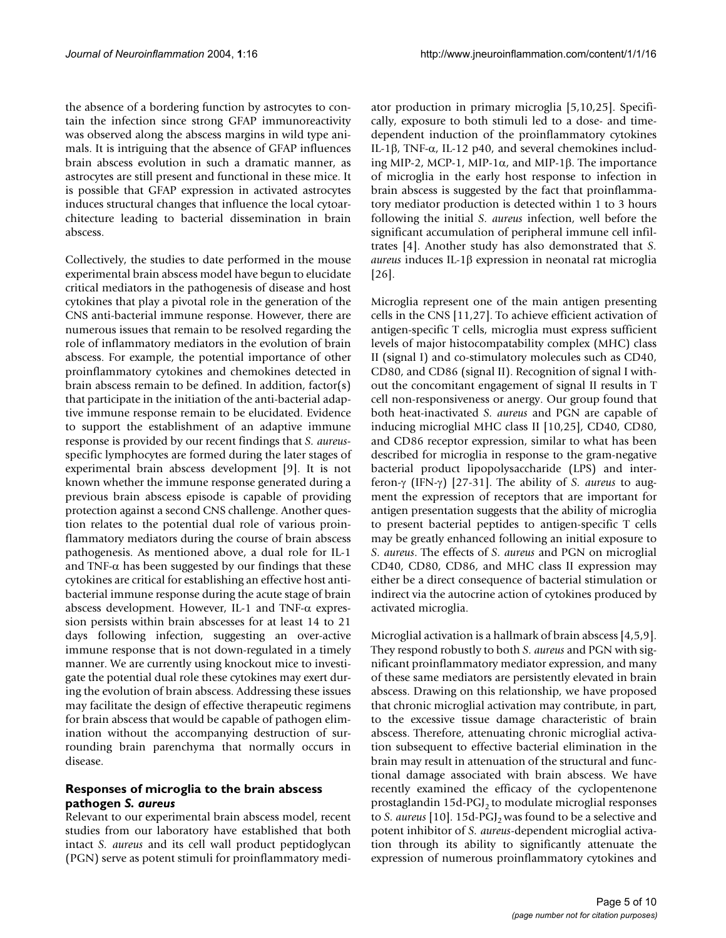the absence of a bordering function by astrocytes to contain the infection since strong GFAP immunoreactivity was observed along the abscess margins in wild type animals. It is intriguing that the absence of GFAP influences brain abscess evolution in such a dramatic manner, as astrocytes are still present and functional in these mice. It is possible that GFAP expression in activated astrocytes induces structural changes that influence the local cytoarchitecture leading to bacterial dissemination in brain abscess.

Collectively, the studies to date performed in the mouse experimental brain abscess model have begun to elucidate critical mediators in the pathogenesis of disease and host cytokines that play a pivotal role in the generation of the CNS anti-bacterial immune response. However, there are numerous issues that remain to be resolved regarding the role of inflammatory mediators in the evolution of brain abscess. For example, the potential importance of other proinflammatory cytokines and chemokines detected in brain abscess remain to be defined. In addition, factor(s) that participate in the initiation of the anti-bacterial adaptive immune response remain to be elucidated. Evidence to support the establishment of an adaptive immune response is provided by our recent findings that *S. aureus*specific lymphocytes are formed during the later stages of experimental brain abscess development [9]. It is not known whether the immune response generated during a previous brain abscess episode is capable of providing protection against a second CNS challenge. Another question relates to the potential dual role of various proinflammatory mediators during the course of brain abscess pathogenesis. As mentioned above, a dual role for IL-1 and TNF- $\alpha$  has been suggested by our findings that these cytokines are critical for establishing an effective host antibacterial immune response during the acute stage of brain abscess development. However, IL-1 and TNF-α expression persists within brain abscesses for at least 14 to 21 days following infection, suggesting an over-active immune response that is not down-regulated in a timely manner. We are currently using knockout mice to investigate the potential dual role these cytokines may exert during the evolution of brain abscess. Addressing these issues may facilitate the design of effective therapeutic regimens for brain abscess that would be capable of pathogen elimination without the accompanying destruction of surrounding brain parenchyma that normally occurs in disease.

### **Responses of microglia to the brain abscess pathogen** *S. aureus*

Relevant to our experimental brain abscess model, recent studies from our laboratory have established that both intact *S. aureus* and its cell wall product peptidoglycan (PGN) serve as potent stimuli for proinflammatory mediator production in primary microglia [5,10,25]. Specifically, exposure to both stimuli led to a dose- and timedependent induction of the proinflammatory cytokines IL-1β, TNF-α, IL-12 p40, and several chemokines including MIP-2, MCP-1, MIP-1α, and MIP-1β. The importance of microglia in the early host response to infection in brain abscess is suggested by the fact that proinflammatory mediator production is detected within 1 to 3 hours following the initial *S. aureus* infection, well before the significant accumulation of peripheral immune cell infiltrates [4]. Another study has also demonstrated that *S. aureus* induces IL-1β expression in neonatal rat microglia [26].

Microglia represent one of the main antigen presenting cells in the CNS [11,27]. To achieve efficient activation of antigen-specific T cells, microglia must express sufficient levels of major histocompatability complex (MHC) class II (signal I) and co-stimulatory molecules such as CD40, CD80, and CD86 (signal II). Recognition of signal I without the concomitant engagement of signal II results in T cell non-responsiveness or anergy. Our group found that both heat-inactivated *S. aureus* and PGN are capable of inducing microglial MHC class II [10,25], CD40, CD80, and CD86 receptor expression, similar to what has been described for microglia in response to the gram-negative bacterial product lipopolysaccharide (LPS) and interferon-γ (IFN-γ) [27-31]. The ability of *S. aureus* to augment the expression of receptors that are important for antigen presentation suggests that the ability of microglia to present bacterial peptides to antigen-specific T cells may be greatly enhanced following an initial exposure to *S. aureus*. The effects of *S. aureus* and PGN on microglial CD40, CD80, CD86, and MHC class II expression may either be a direct consequence of bacterial stimulation or indirect via the autocrine action of cytokines produced by activated microglia.

Microglial activation is a hallmark of brain abscess [4,5,9]. They respond robustly to both *S. aureus* and PGN with significant proinflammatory mediator expression, and many of these same mediators are persistently elevated in brain abscess. Drawing on this relationship, we have proposed that chronic microglial activation may contribute, in part, to the excessive tissue damage characteristic of brain abscess. Therefore, attenuating chronic microglial activation subsequent to effective bacterial elimination in the brain may result in attenuation of the structural and functional damage associated with brain abscess. We have recently examined the efficacy of the cyclopentenone prostaglandin  $15d$ -PGJ<sub>2</sub> to modulate microglial responses to *S. aureus* [10]. 15d-PGJ<sub>2</sub> was found to be a selective and potent inhibitor of *S. aureus*-dependent microglial activation through its ability to significantly attenuate the expression of numerous proinflammatory cytokines and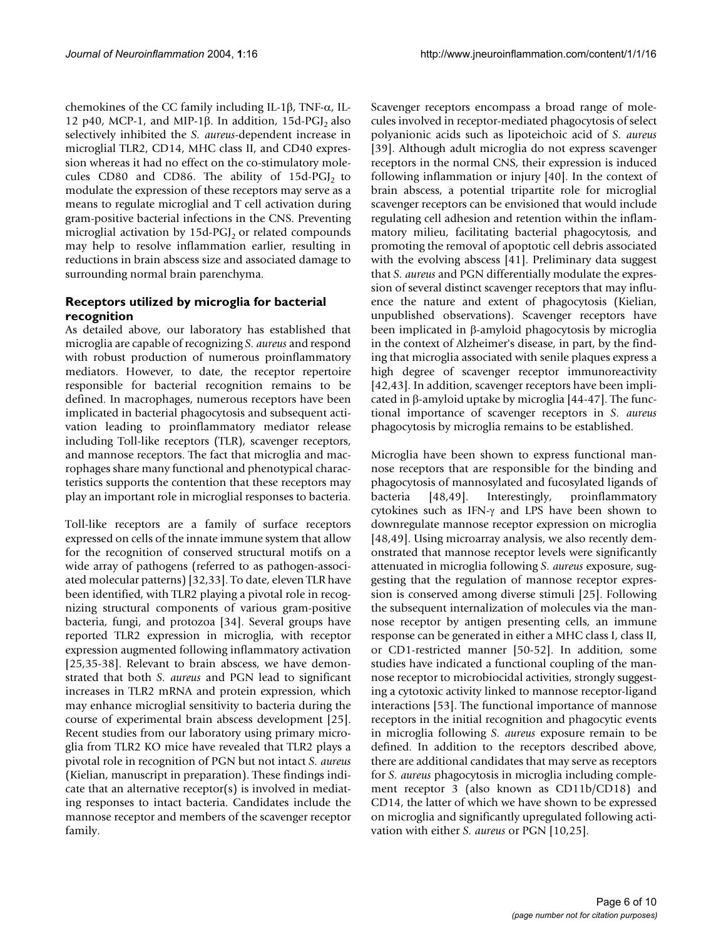chemokines of the CC family including IL-1β, TNF-α, IL-12 p40, MCP-1, and MIP-1β. In addition, 15d-PGJ<sub>2</sub> also selectively inhibited the *S. aureus*-dependent increase in microglial TLR2, CD14, MHC class II, and CD40 expression whereas it had no effect on the co-stimulatory molecules CD80 and CD86. The ability of  $15d$ -PGJ<sub>2</sub> to modulate the expression of these receptors may serve as a means to regulate microglial and T cell activation during gram-positive bacterial infections in the CNS. Preventing microglial activation by  $15d$ -PGJ<sub>2</sub> or related compounds may help to resolve inflammation earlier, resulting in reductions in brain abscess size and associated damage to surrounding normal brain parenchyma.

# **Receptors utilized by microglia for bacterial recognition**

As detailed above, our laboratory has established that microglia are capable of recognizing *S. aureus* and respond with robust production of numerous proinflammatory mediators. However, to date, the receptor repertoire responsible for bacterial recognition remains to be defined. In macrophages, numerous receptors have been implicated in bacterial phagocytosis and subsequent activation leading to proinflammatory mediator release including Toll-like receptors (TLR), scavenger receptors, and mannose receptors. The fact that microglia and macrophages share many functional and phenotypical characteristics supports the contention that these receptors may play an important role in microglial responses to bacteria.

Toll-like receptors are a family of surface receptors expressed on cells of the innate immune system that allow for the recognition of conserved structural motifs on a wide array of pathogens (referred to as pathogen-associated molecular patterns) [32,33]. To date, eleven TLR have been identified, with TLR2 playing a pivotal role in recognizing structural components of various gram-positive bacteria, fungi, and protozoa [34]. Several groups have reported TLR2 expression in microglia, with receptor expression augmented following inflammatory activation [25,35-38]. Relevant to brain abscess, we have demonstrated that both *S. aureus* and PGN lead to significant increases in TLR2 mRNA and protein expression, which may enhance microglial sensitivity to bacteria during the course of experimental brain abscess development [25]. Recent studies from our laboratory using primary microglia from TLR2 KO mice have revealed that TLR2 plays a pivotal role in recognition of PGN but not intact *S. aureus* (Kielian, manuscript in preparation). These findings indicate that an alternative receptor(s) is involved in mediating responses to intact bacteria. Candidates include the mannose receptor and members of the scavenger receptor family.

Scavenger receptors encompass a broad range of molecules involved in receptor-mediated phagocytosis of select polyanionic acids such as lipoteichoic acid of *S. aureus* [39]. Although adult microglia do not express scavenger receptors in the normal CNS, their expression is induced following inflammation or injury [40]. In the context of brain abscess, a potential tripartite role for microglial scavenger receptors can be envisioned that would include regulating cell adhesion and retention within the inflammatory milieu, facilitating bacterial phagocytosis, and promoting the removal of apoptotic cell debris associated with the evolving abscess [41]. Preliminary data suggest that *S. aureus* and PGN differentially modulate the expression of several distinct scavenger receptors that may influence the nature and extent of phagocytosis (Kielian, unpublished observations). Scavenger receptors have been implicated in β-amyloid phagocytosis by microglia in the context of Alzheimer's disease, in part, by the finding that microglia associated with senile plaques express a high degree of scavenger receptor immunoreactivity [42,43]. In addition, scavenger receptors have been implicated in β-amyloid uptake by microglia [44-47]. The functional importance of scavenger receptors in *S. aureus* phagocytosis by microglia remains to be established.

Microglia have been shown to express functional mannose receptors that are responsible for the binding and phagocytosis of mannosylated and fucosylated ligands of bacteria [48,49]. Interestingly, proinflammatory cytokines such as IFN-γ and LPS have been shown to downregulate mannose receptor expression on microglia [48,49]. Using microarray analysis, we also recently demonstrated that mannose receptor levels were significantly attenuated in microglia following *S. aureus* exposure, suggesting that the regulation of mannose receptor expression is conserved among diverse stimuli [25]. Following the subsequent internalization of molecules via the mannose receptor by antigen presenting cells, an immune response can be generated in either a MHC class I, class II, or CD1-restricted manner [50-52]. In addition, some studies have indicated a functional coupling of the mannose receptor to microbiocidal activities, strongly suggesting a cytotoxic activity linked to mannose receptor-ligand interactions [53]. The functional importance of mannose receptors in the initial recognition and phagocytic events in microglia following *S. aureus* exposure remain to be defined. In addition to the receptors described above, there are additional candidates that may serve as receptors for *S. aureus* phagocytosis in microglia including complement receptor 3 (also known as CD11b/CD18) and CD14, the latter of which we have shown to be expressed on microglia and significantly upregulated following activation with either *S. aureus* or PGN [10,25].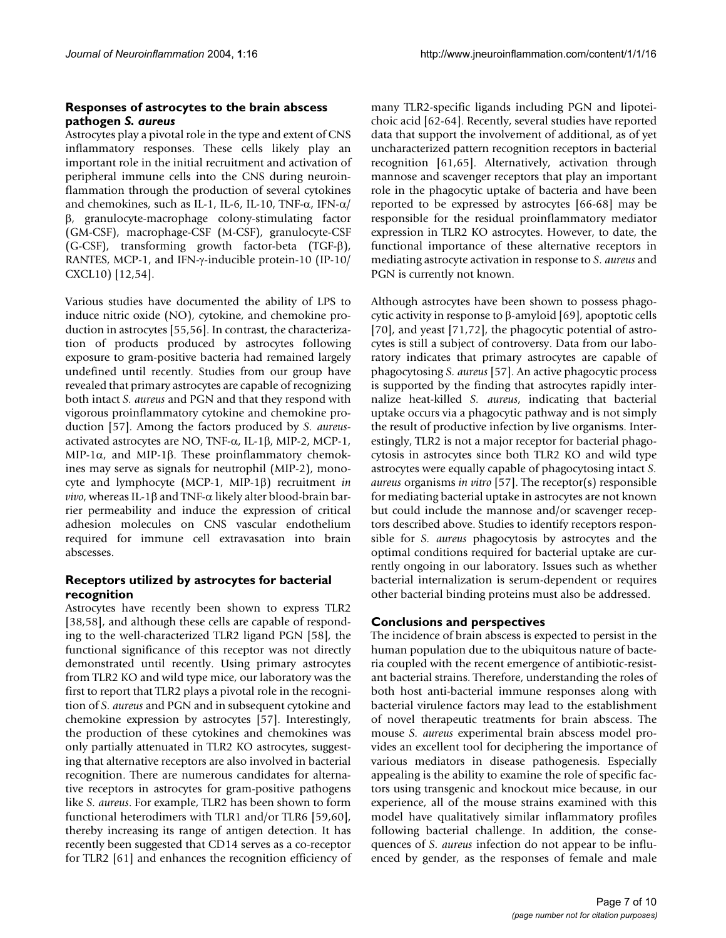# **Responses of astrocytes to the brain abscess pathogen** *S. aureus*

Astrocytes play a pivotal role in the type and extent of CNS inflammatory responses. These cells likely play an important role in the initial recruitment and activation of peripheral immune cells into the CNS during neuroinflammation through the production of several cytokines and chemokines, such as IL-1, IL-6, IL-10, TNF- $\alpha$ , IFN- $\alpha$ / β, granulocyte-macrophage colony-stimulating factor (GM-CSF), macrophage-CSF (M-CSF), granulocyte-CSF (G-CSF), transforming growth factor-beta (TGF-β), RANTES, MCP-1, and IFN-γ-inducible protein-10 (IP-10/ CXCL10) [12,54].

Various studies have documented the ability of LPS to induce nitric oxide (NO), cytokine, and chemokine production in astrocytes [55,56]. In contrast, the characterization of products produced by astrocytes following exposure to gram-positive bacteria had remained largely undefined until recently. Studies from our group have revealed that primary astrocytes are capable of recognizing both intact *S. aureus* and PGN and that they respond with vigorous proinflammatory cytokine and chemokine production [57]. Among the factors produced by *S. aureus*activated astrocytes are NO, TNF-α, IL-1β, MIP-2, MCP-1, MIP-1α, and MIP-1β. These proinflammatory chemokines may serve as signals for neutrophil (MIP-2), monocyte and lymphocyte (MCP-1, MIP-1β) recruitment *in vivo*, whereas IL-1β and TNF-α likely alter blood-brain barrier permeability and induce the expression of critical adhesion molecules on CNS vascular endothelium required for immune cell extravasation into brain abscesses.

# **Receptors utilized by astrocytes for bacterial recognition**

Astrocytes have recently been shown to express TLR2 [38,58], and although these cells are capable of responding to the well-characterized TLR2 ligand PGN [58], the functional significance of this receptor was not directly demonstrated until recently. Using primary astrocytes from TLR2 KO and wild type mice, our laboratory was the first to report that TLR2 plays a pivotal role in the recognition of *S. aureus* and PGN and in subsequent cytokine and chemokine expression by astrocytes [57]. Interestingly, the production of these cytokines and chemokines was only partially attenuated in TLR2 KO astrocytes, suggesting that alternative receptors are also involved in bacterial recognition. There are numerous candidates for alternative receptors in astrocytes for gram-positive pathogens like *S. aureus*. For example, TLR2 has been shown to form functional heterodimers with TLR1 and/or TLR6 [59,60], thereby increasing its range of antigen detection. It has recently been suggested that CD14 serves as a co-receptor for TLR2 [61] and enhances the recognition efficiency of many TLR2-specific ligands including PGN and lipoteichoic acid [62-64]. Recently, several studies have reported data that support the involvement of additional, as of yet uncharacterized pattern recognition receptors in bacterial recognition [61,65]. Alternatively, activation through mannose and scavenger receptors that play an important role in the phagocytic uptake of bacteria and have been reported to be expressed by astrocytes [66-68] may be responsible for the residual proinflammatory mediator expression in TLR2 KO astrocytes. However, to date, the functional importance of these alternative receptors in mediating astrocyte activation in response to *S. aureus* and PGN is currently not known.

Although astrocytes have been shown to possess phagocytic activity in response to β-amyloid [69], apoptotic cells [70], and yeast [71,72], the phagocytic potential of astrocytes is still a subject of controversy. Data from our laboratory indicates that primary astrocytes are capable of phagocytosing *S. aureus* [57]. An active phagocytic process is supported by the finding that astrocytes rapidly internalize heat-killed *S. aureus*, indicating that bacterial uptake occurs via a phagocytic pathway and is not simply the result of productive infection by live organisms. Interestingly, TLR2 is not a major receptor for bacterial phagocytosis in astrocytes since both TLR2 KO and wild type astrocytes were equally capable of phagocytosing intact *S. aureus* organisms *in vitro* [57]. The receptor(s) responsible for mediating bacterial uptake in astrocytes are not known but could include the mannose and/or scavenger receptors described above. Studies to identify receptors responsible for *S. aureus* phagocytosis by astrocytes and the optimal conditions required for bacterial uptake are currently ongoing in our laboratory. Issues such as whether bacterial internalization is serum-dependent or requires other bacterial binding proteins must also be addressed.

# **Conclusions and perspectives**

The incidence of brain abscess is expected to persist in the human population due to the ubiquitous nature of bacteria coupled with the recent emergence of antibiotic-resistant bacterial strains. Therefore, understanding the roles of both host anti-bacterial immune responses along with bacterial virulence factors may lead to the establishment of novel therapeutic treatments for brain abscess. The mouse *S. aureus* experimental brain abscess model provides an excellent tool for deciphering the importance of various mediators in disease pathogenesis. Especially appealing is the ability to examine the role of specific factors using transgenic and knockout mice because, in our experience, all of the mouse strains examined with this model have qualitatively similar inflammatory profiles following bacterial challenge. In addition, the consequences of *S. aureus* infection do not appear to be influenced by gender, as the responses of female and male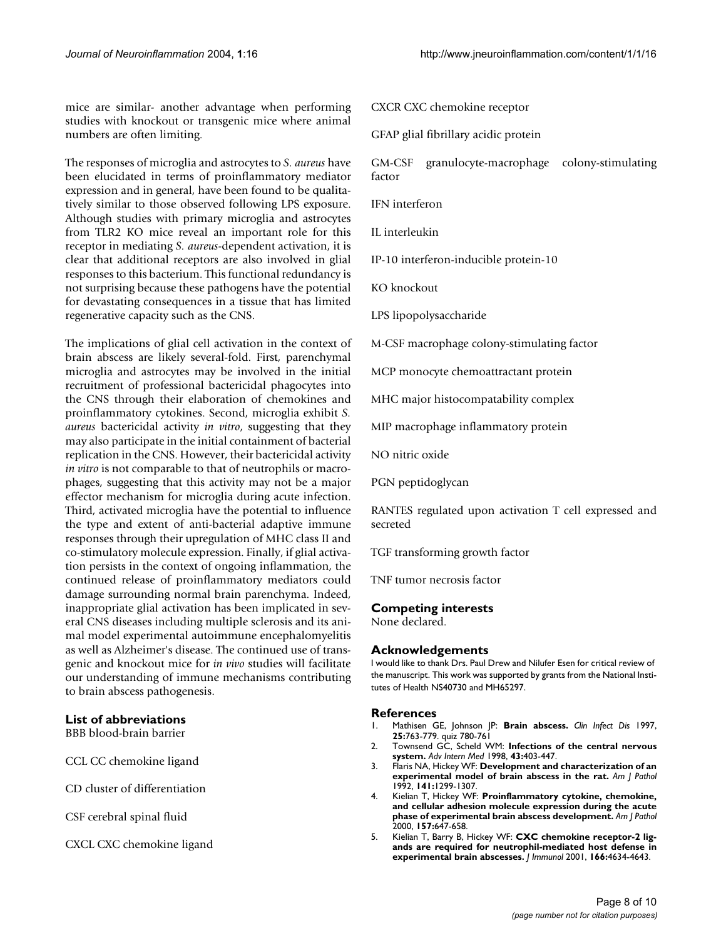mice are similar- another advantage when performing studies with knockout or transgenic mice where animal numbers are often limiting.

The responses of microglia and astrocytes to *S. aureus* have been elucidated in terms of proinflammatory mediator expression and in general, have been found to be qualitatively similar to those observed following LPS exposure. Although studies with primary microglia and astrocytes from TLR2 KO mice reveal an important role for this receptor in mediating *S. aureus*-dependent activation, it is clear that additional receptors are also involved in glial responses to this bacterium. This functional redundancy is not surprising because these pathogens have the potential for devastating consequences in a tissue that has limited regenerative capacity such as the CNS.

The implications of glial cell activation in the context of brain abscess are likely several-fold. First, parenchymal microglia and astrocytes may be involved in the initial recruitment of professional bactericidal phagocytes into the CNS through their elaboration of chemokines and proinflammatory cytokines. Second, microglia exhibit *S. aureus* bactericidal activity *in vitro*, suggesting that they may also participate in the initial containment of bacterial replication in the CNS. However, their bactericidal activity *in vitro* is not comparable to that of neutrophils or macrophages, suggesting that this activity may not be a major effector mechanism for microglia during acute infection. Third, activated microglia have the potential to influence the type and extent of anti-bacterial adaptive immune responses through their upregulation of MHC class II and co-stimulatory molecule expression. Finally, if glial activation persists in the context of ongoing inflammation, the continued release of proinflammatory mediators could damage surrounding normal brain parenchyma. Indeed, inappropriate glial activation has been implicated in several CNS diseases including multiple sclerosis and its animal model experimental autoimmune encephalomyelitis as well as Alzheimer's disease. The continued use of transgenic and knockout mice for *in vivo* studies will facilitate our understanding of immune mechanisms contributing to brain abscess pathogenesis.

#### **List of abbreviations**

BBB blood-brain barrier

- CCL CC chemokine ligand
- CD cluster of differentiation

CSF cerebral spinal fluid

CXCL CXC chemokine ligand

CXCR CXC chemokine receptor

GFAP glial fibrillary acidic protein

GM-CSF granulocyte-macrophage colony-stimulating factor

IFN interferon

IL interleukin

IP-10 interferon-inducible protein-10

KO knockout

LPS lipopolysaccharide

M-CSF macrophage colony-stimulating factor

MCP monocyte chemoattractant protein

MHC major histocompatability complex

MIP macrophage inflammatory protein

NO nitric oxide

PGN peptidoglycan

RANTES regulated upon activation T cell expressed and secreted

TGF transforming growth factor

TNF tumor necrosis factor

#### **Competing interests**

None declared.

#### **Acknowledgements**

I would like to thank Drs. Paul Drew and Nilufer Esen for critical review of the manuscript. This work was supported by grants from the National Institutes of Health NS40730 and MH65297.

#### **References**

- 1. Mathisen GE, Johnson JP: **[Brain abscess.](http://www.ncbi.nlm.nih.gov/entrez/query.fcgi?cmd=Retrieve&db=PubMed&dopt=Abstract&list_uids=9356788)** *Clin Infect Dis* 1997, **25:**763-779. quiz 780-761
- 2. Townsend GC, Scheld WM: **[Infections of the central nervous](http://www.ncbi.nlm.nih.gov/entrez/query.fcgi?cmd=Retrieve&db=PubMed&dopt=Abstract&list_uids=9506189) [system.](http://www.ncbi.nlm.nih.gov/entrez/query.fcgi?cmd=Retrieve&db=PubMed&dopt=Abstract&list_uids=9506189)** *Adv Intern Med* 1998, **43:**403-447.
- 3. Flaris NA, Hickey WF: **[Development and characterization of an](http://www.ncbi.nlm.nih.gov/entrez/query.fcgi?cmd=Retrieve&db=PubMed&dopt=Abstract&list_uids=1281616) [experimental model of brain abscess in the rat.](http://www.ncbi.nlm.nih.gov/entrez/query.fcgi?cmd=Retrieve&db=PubMed&dopt=Abstract&list_uids=1281616)** *Am J Pathol* 1992, **141:**1299-1307.
- 4. Kielian T, Hickey WF: **[Proinflammatory cytokine, chemokine,](http://www.ncbi.nlm.nih.gov/entrez/query.fcgi?cmd=Retrieve&db=PubMed&dopt=Abstract&list_uids=10934167) [and cellular adhesion molecule expression during the acute](http://www.ncbi.nlm.nih.gov/entrez/query.fcgi?cmd=Retrieve&db=PubMed&dopt=Abstract&list_uids=10934167) [phase of experimental brain abscess development.](http://www.ncbi.nlm.nih.gov/entrez/query.fcgi?cmd=Retrieve&db=PubMed&dopt=Abstract&list_uids=10934167)** *Am J Pathol* 2000, **157:**647-658.
- 5. Kielian T, Barry B, Hickey WF: **[CXC chemokine receptor-2 lig](http://www.ncbi.nlm.nih.gov/entrez/query.fcgi?cmd=Retrieve&db=PubMed&dopt=Abstract&list_uids=11254722)[ands are required for neutrophil-mediated host defense in](http://www.ncbi.nlm.nih.gov/entrez/query.fcgi?cmd=Retrieve&db=PubMed&dopt=Abstract&list_uids=11254722) [experimental brain abscesses.](http://www.ncbi.nlm.nih.gov/entrez/query.fcgi?cmd=Retrieve&db=PubMed&dopt=Abstract&list_uids=11254722)** *J Immunol* 2001, **166:**4634-4643.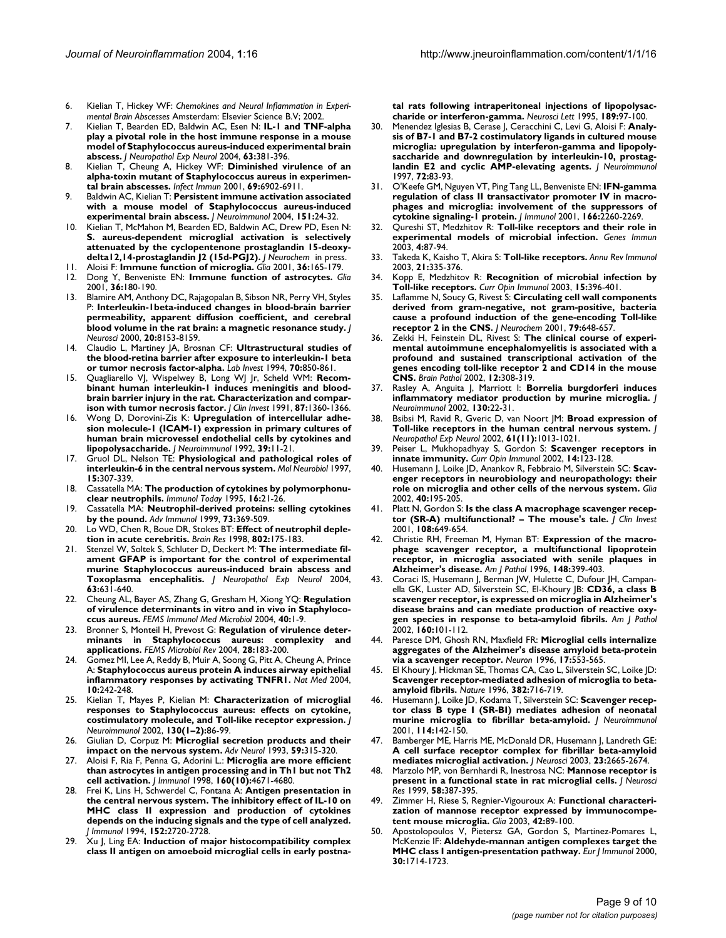- 6. Kielian T, Hickey WF: *Chemokines and Neural Inflammation in Experimental Brain Abscesses* Amsterdam: Elsevier Science B.V; 2002.
- 7. Kielian T, Bearden ED, Baldwin AC, Esen N: **[IL-1 and TNF-alpha](http://www.ncbi.nlm.nih.gov/entrez/query.fcgi?cmd=Retrieve&db=PubMed&dopt=Abstract&list_uids=15099027) play a pivotal role in the host immune response in a mouse [model of Staphylococcus aureus-induced experimental brain](http://www.ncbi.nlm.nih.gov/entrez/query.fcgi?cmd=Retrieve&db=PubMed&dopt=Abstract&list_uids=15099027) [abscess.](http://www.ncbi.nlm.nih.gov/entrez/query.fcgi?cmd=Retrieve&db=PubMed&dopt=Abstract&list_uids=15099027)** *J Neuropathol Exp Neurol* 2004, **63:**381-396.
- 8. Kielian T, Cheung A, Hickey WF: **[Diminished virulence of an](http://www.ncbi.nlm.nih.gov/entrez/query.fcgi?cmd=Retrieve&db=PubMed&dopt=Abstract&list_uids=100070) [alpha-toxin mutant of Staphylococcus aureus in experimen](http://www.ncbi.nlm.nih.gov/entrez/query.fcgi?cmd=Retrieve&db=PubMed&dopt=Abstract&list_uids=100070)[tal brain abscesses](http://www.ncbi.nlm.nih.gov/entrez/query.fcgi?cmd=Retrieve&db=PubMed&dopt=Abstract&list_uids=100070)[.](http://www.ncbi.nlm.nih.gov/entrez/query.fcgi?cmd=Retrieve&db=PubMed&dopt=Abstract&list_uids=10.1128/IAI.69.11.6902-6911.2001)** *Infect Immun* 2001, **69:**6902-6911.
- 9. Baldwin AC, Kielian T: **[Persistent immune activation associated](http://www.ncbi.nlm.nih.gov/entrez/query.fcgi?cmd=Retrieve&db=PubMed&dopt=Abstract&list_uids=10.1016/j.jneuroim.2004.02.002) [with a mouse model of Staphylococcus aureus-induced](http://www.ncbi.nlm.nih.gov/entrez/query.fcgi?cmd=Retrieve&db=PubMed&dopt=Abstract&list_uids=10.1016/j.jneuroim.2004.02.002) [experimental brain abscess](http://www.ncbi.nlm.nih.gov/entrez/query.fcgi?cmd=Retrieve&db=PubMed&dopt=Abstract&list_uids=10.1016/j.jneuroim.2004.02.002)[.](http://www.ncbi.nlm.nih.gov/entrez/query.fcgi?cmd=Retrieve&db=PubMed&dopt=Abstract&list_uids=15145600)** *J Neuroimmunol* 2004, **151:**24-32.
- 10. Kielian T, McMahon M, Bearden ED, Baldwin AC, Drew PD, Esen N: **S. aureus-dependent microglial activation is selectively attenuated by the cyclopentenone prostaglandin 15-deoxydelta12,14-prostaglandin J2 (15d-PGJ2).** *J Neurochem* in press.
- 11. Aloisi F: **[Immune function of microglia](http://www.ncbi.nlm.nih.gov/entrez/query.fcgi?cmd=Retrieve&db=PubMed&dopt=Abstract&list_uids=10.1002/glia.1106)[.](http://www.ncbi.nlm.nih.gov/entrez/query.fcgi?cmd=Retrieve&db=PubMed&dopt=Abstract&list_uids=11596125)** *Glia* 2001, **36:**165-179.
- 12. Dong Y, Benveniste EN: **[Immune function of astrocytes](http://www.ncbi.nlm.nih.gov/entrez/query.fcgi?cmd=Retrieve&db=PubMed&dopt=Abstract&list_uids=10.1002/glia.1107)[.](http://www.ncbi.nlm.nih.gov/entrez/query.fcgi?cmd=Retrieve&db=PubMed&dopt=Abstract&list_uids=11596126)** *Glia* 2001, **36:**180-190.
- 13. Blamire AM, Anthony DC, Rajagopalan B, Sibson NR, Perry VH, Styles P: **[Interleukin-1beta-induced changes in blood-brain barrier](http://www.ncbi.nlm.nih.gov/entrez/query.fcgi?cmd=Retrieve&db=PubMed&dopt=Abstract&list_uids=11050138) [permeability, apparent diffusion coefficient, and cerebral](http://www.ncbi.nlm.nih.gov/entrez/query.fcgi?cmd=Retrieve&db=PubMed&dopt=Abstract&list_uids=11050138) [blood volume in the rat brain: a magnetic resonance study.](http://www.ncbi.nlm.nih.gov/entrez/query.fcgi?cmd=Retrieve&db=PubMed&dopt=Abstract&list_uids=11050138)** *J Neurosci* 2000, **20:**8153-8159.
- 14. Claudio L, Martiney JA, Brosnan CF: **[Ultrastructural studies of](http://www.ncbi.nlm.nih.gov/entrez/query.fcgi?cmd=Retrieve&db=PubMed&dopt=Abstract&list_uids=8015289) [the blood-retina barrier after exposure to interleukin-1 beta](http://www.ncbi.nlm.nih.gov/entrez/query.fcgi?cmd=Retrieve&db=PubMed&dopt=Abstract&list_uids=8015289) [or tumor necrosis factor-alpha.](http://www.ncbi.nlm.nih.gov/entrez/query.fcgi?cmd=Retrieve&db=PubMed&dopt=Abstract&list_uids=8015289)** *Lab Invest* 1994, **70:**850-861.
- 15. Quagliarello VJ, Wispelwey B, Long WJ Jr, Scheld WM: **[Recom](http://www.ncbi.nlm.nih.gov/entrez/query.fcgi?cmd=Retrieve&db=PubMed&dopt=Abstract&list_uids=295174)[binant human interleukin-1 induces meningitis and blood](http://www.ncbi.nlm.nih.gov/entrez/query.fcgi?cmd=Retrieve&db=PubMed&dopt=Abstract&list_uids=295174)brain barrier injury in the rat. Characterization and compar[ison with tumor necrosis factor](http://www.ncbi.nlm.nih.gov/entrez/query.fcgi?cmd=Retrieve&db=PubMed&dopt=Abstract&list_uids=295174)[.](http://www.ncbi.nlm.nih.gov/entrez/query.fcgi?cmd=Retrieve&db=PubMed&dopt=Abstract&list_uids=2010549)** *J Clin Invest* 1991, **87:**1360-1366.
- 16. Wong D, Dorovini-Zis K: **[Upregulation of intercellular adhe](http://www.ncbi.nlm.nih.gov/entrez/query.fcgi?cmd=Retrieve&db=PubMed&dopt=Abstract&list_uids=10.1016/0165-5728(92)90170-P)[sion molecule-1 \(ICAM-1\) expression in primary cultures of](http://www.ncbi.nlm.nih.gov/entrez/query.fcgi?cmd=Retrieve&db=PubMed&dopt=Abstract&list_uids=10.1016/0165-5728(92)90170-P) human brain microvessel endothelial cells by cytokines and [lipopolysaccharide](http://www.ncbi.nlm.nih.gov/entrez/query.fcgi?cmd=Retrieve&db=PubMed&dopt=Abstract&list_uids=10.1016/0165-5728(92)90170-P)[.](http://www.ncbi.nlm.nih.gov/entrez/query.fcgi?cmd=Retrieve&db=PubMed&dopt=Abstract&list_uids=1352310)** *J Neuroimmunol* 1992, **39:**11-21.
- 17. Gruol DL, Nelson TE: **[Physiological and pathological roles of](http://www.ncbi.nlm.nih.gov/entrez/query.fcgi?cmd=Retrieve&db=PubMed&dopt=Abstract&list_uids=9457704) [interleukin-6 in the central nervous system.](http://www.ncbi.nlm.nih.gov/entrez/query.fcgi?cmd=Retrieve&db=PubMed&dopt=Abstract&list_uids=9457704)** *Mol Neurobiol* 1997, **15:**307-339.
- 18. Cassatella MA: **[The production of cytokines by polymorphonu](http://www.ncbi.nlm.nih.gov/entrez/query.fcgi?cmd=Retrieve&db=PubMed&dopt=Abstract&list_uids=10.1016/0167-5699(95)80066-2)[clear neutrophils](http://www.ncbi.nlm.nih.gov/entrez/query.fcgi?cmd=Retrieve&db=PubMed&dopt=Abstract&list_uids=10.1016/0167-5699(95)80066-2)[.](http://www.ncbi.nlm.nih.gov/entrez/query.fcgi?cmd=Retrieve&db=PubMed&dopt=Abstract&list_uids=7880385)** *Immunol Today* 1995, **16:**21-26.
- 19. Cassatella MA: **[Neutrophil-derived proteins: selling cytokines](http://www.ncbi.nlm.nih.gov/entrez/query.fcgi?cmd=Retrieve&db=PubMed&dopt=Abstract&list_uids=10399011) [by the pound.](http://www.ncbi.nlm.nih.gov/entrez/query.fcgi?cmd=Retrieve&db=PubMed&dopt=Abstract&list_uids=10399011)** *Adv Immunol* 1999, **73:**369-509.
- 20. Lo WD, Chen R, Boue DR, Stokes BT: **[Effect of neutrophil deple](http://www.ncbi.nlm.nih.gov/entrez/query.fcgi?cmd=Retrieve&db=PubMed&dopt=Abstract&list_uids=10.1016/S0006-8993(98)00600-3)[tion in acute cerebritis](http://www.ncbi.nlm.nih.gov/entrez/query.fcgi?cmd=Retrieve&db=PubMed&dopt=Abstract&list_uids=10.1016/S0006-8993(98)00600-3)[.](http://www.ncbi.nlm.nih.gov/entrez/query.fcgi?cmd=Retrieve&db=PubMed&dopt=Abstract&list_uids=9748561)** *Brain Res* 1998, **802:**175-183.
- 21. Stenzel W, Soltek S, Schluter D, Deckert M: **[The intermediate fil](http://www.ncbi.nlm.nih.gov/entrez/query.fcgi?cmd=Retrieve&db=PubMed&dopt=Abstract&list_uids=15217091)ament GFAP is important for the control of experimental [murine Staphylococcus aureus-induced brain abscess and](http://www.ncbi.nlm.nih.gov/entrez/query.fcgi?cmd=Retrieve&db=PubMed&dopt=Abstract&list_uids=15217091) [Toxoplasma encephalitis.](http://www.ncbi.nlm.nih.gov/entrez/query.fcgi?cmd=Retrieve&db=PubMed&dopt=Abstract&list_uids=15217091)** *J Neuropathol Exp Neurol* 2004, **63:**631-640.
- 22. Cheung AL, Bayer AS, Zhang G, Gresham H, Xiong YQ: **[Regulation](http://www.ncbi.nlm.nih.gov/entrez/query.fcgi?cmd=Retrieve&db=PubMed&dopt=Abstract&list_uids=10.1016/S0928-8244(03)00309-2) [of virulence determinants in vitro and in vivo in Staphyloco](http://www.ncbi.nlm.nih.gov/entrez/query.fcgi?cmd=Retrieve&db=PubMed&dopt=Abstract&list_uids=10.1016/S0928-8244(03)00309-2)[ccus aureus](http://www.ncbi.nlm.nih.gov/entrez/query.fcgi?cmd=Retrieve&db=PubMed&dopt=Abstract&list_uids=10.1016/S0928-8244(03)00309-2)[.](http://www.ncbi.nlm.nih.gov/entrez/query.fcgi?cmd=Retrieve&db=PubMed&dopt=Abstract&list_uids=14734180)** *FEMS Immunol Med Microbiol* 2004, **40:**1-9.
- 23. Bronner S, Monteil H, Prevost G: **[Regulation of virulence deter](http://www.ncbi.nlm.nih.gov/entrez/query.fcgi?cmd=Retrieve&db=PubMed&dopt=Abstract&list_uids=10.1016/j.femsre.2003.09.003)[minants in Staphylococcus aureus: complexity and](http://www.ncbi.nlm.nih.gov/entrez/query.fcgi?cmd=Retrieve&db=PubMed&dopt=Abstract&list_uids=10.1016/j.femsre.2003.09.003) [applications](http://www.ncbi.nlm.nih.gov/entrez/query.fcgi?cmd=Retrieve&db=PubMed&dopt=Abstract&list_uids=10.1016/j.femsre.2003.09.003)[.](http://www.ncbi.nlm.nih.gov/entrez/query.fcgi?cmd=Retrieve&db=PubMed&dopt=Abstract&list_uids=15109784)** *FEMS Microbiol Rev* 2004, **28:**183-200.
- Gomez MI, Lee A, Reddy B, Muir A, Soong G, Pitt A, Cheung A, Prince A: **Staphylococcus aureus protein A induces airway epithelial inflammatory responses by activating TNFR1.** *Nat Med* 2004, **10:**242-248.
- 25. Kielian T, Mayes P, Kielian M: **[Characterization of microglial](http://www.ncbi.nlm.nih.gov/entrez/query.fcgi?cmd=Retrieve&db=PubMed&dopt=Abstract&list_uids=10.1016/S0165-5728(02)00216-3) [responses to Staphylococcus aureus: effects on cytokine,](http://www.ncbi.nlm.nih.gov/entrez/query.fcgi?cmd=Retrieve&db=PubMed&dopt=Abstract&list_uids=10.1016/S0165-5728(02)00216-3) [costimulatory molecule, and Toll-like receptor expression](http://www.ncbi.nlm.nih.gov/entrez/query.fcgi?cmd=Retrieve&db=PubMed&dopt=Abstract&list_uids=10.1016/S0165-5728(02)00216-3)[.](http://www.ncbi.nlm.nih.gov/entrez/query.fcgi?cmd=Retrieve&db=PubMed&dopt=Abstract&list_uids=12225891)** *J Neuroimmunol* 2002, **130(1–2):**86-99.
- 26. Giulian D, Corpuz M: **[Microglial secretion products and their](http://www.ncbi.nlm.nih.gov/entrez/query.fcgi?cmd=Retrieve&db=PubMed&dopt=Abstract&list_uids=8420117) [impact on the nervous system.](http://www.ncbi.nlm.nih.gov/entrez/query.fcgi?cmd=Retrieve&db=PubMed&dopt=Abstract&list_uids=8420117)** *Adv Neurol* 1993, **59:**315-320.
- 27. Aloisi F, Ria F, Penna G, Adorini L.: **[Microglia are more efficient](http://www.ncbi.nlm.nih.gov/entrez/query.fcgi?cmd=Retrieve&db=PubMed&dopt=Abstract&list_uids=9590212) [than astrocytes in antigen processing and in Th1 but not Th2](http://www.ncbi.nlm.nih.gov/entrez/query.fcgi?cmd=Retrieve&db=PubMed&dopt=Abstract&list_uids=9590212) [cell activation.](http://www.ncbi.nlm.nih.gov/entrez/query.fcgi?cmd=Retrieve&db=PubMed&dopt=Abstract&list_uids=9590212)** *J Immunol* 1998, **160(10):**4671-4680.
- 28. Frei K, Lins H, Schwerdel C, Fontana A: **[Antigen presentation in](http://www.ncbi.nlm.nih.gov/entrez/query.fcgi?cmd=Retrieve&db=PubMed&dopt=Abstract&list_uids=8144879) the central nervous system. The inhibitory effect of IL-10 on [MHC class II expression and production of cytokines](http://www.ncbi.nlm.nih.gov/entrez/query.fcgi?cmd=Retrieve&db=PubMed&dopt=Abstract&list_uids=8144879) depends on the inducing signals and the type of cell analyzed.** *J Immunol* 1994, **152:**2720-2728.
- 29. Xu J, Ling EA: **[Induction of major histocompatibility complex](http://www.ncbi.nlm.nih.gov/entrez/query.fcgi?cmd=Retrieve&db=PubMed&dopt=Abstract&list_uids=10.1016/0304-3940(95)11462-6) [class II antigen on amoeboid microglial cells in early postna-](http://www.ncbi.nlm.nih.gov/entrez/query.fcgi?cmd=Retrieve&db=PubMed&dopt=Abstract&list_uids=10.1016/0304-3940(95)11462-6)**

**[tal rats following intraperitoneal injections of lipopolysac](http://www.ncbi.nlm.nih.gov/entrez/query.fcgi?cmd=Retrieve&db=PubMed&dopt=Abstract&list_uids=10.1016/0304-3940(95)11462-6)[charide or interferon-gamma](http://www.ncbi.nlm.nih.gov/entrez/query.fcgi?cmd=Retrieve&db=PubMed&dopt=Abstract&list_uids=10.1016/0304-3940(95)11462-6)[.](http://www.ncbi.nlm.nih.gov/entrez/query.fcgi?cmd=Retrieve&db=PubMed&dopt=Abstract&list_uids=7609927)** *Neurosci Lett* 1995, **189:**97-100.

- 30. Menendez Iglesias B, Cerase J, Ceracchini C, Levi G, Aloisi F: **[Analy](http://www.ncbi.nlm.nih.gov/entrez/query.fcgi?cmd=Retrieve&db=PubMed&dopt=Abstract&list_uids=10.1016/S0165-5728(96)00155-5)sis of B7-1 and B7-2 costimulatory ligands in cultured mouse [microglia: upregulation by interferon-gamma and lipopoly](http://www.ncbi.nlm.nih.gov/entrez/query.fcgi?cmd=Retrieve&db=PubMed&dopt=Abstract&list_uids=10.1016/S0165-5728(96)00155-5)saccharide and downregulation by interleukin-10, prostag[landin E2 and cyclic AMP-elevating agents](http://www.ncbi.nlm.nih.gov/entrez/query.fcgi?cmd=Retrieve&db=PubMed&dopt=Abstract&list_uids=10.1016/S0165-5728(96)00155-5)[.](http://www.ncbi.nlm.nih.gov/entrez/query.fcgi?cmd=Retrieve&db=PubMed&dopt=Abstract&list_uids=9003248)** *J Neuroimmunol* 1997, **72:**83-93.
- 31. O'Keefe GM, Nguyen VT, Ping Tang LL, Benveniste EN: **[IFN-gamma](http://www.ncbi.nlm.nih.gov/entrez/query.fcgi?cmd=Retrieve&db=PubMed&dopt=Abstract&list_uids=11160280) regulation of class II transactivator promoter IV in macro[phages and microglia: involvement of the suppressors of](http://www.ncbi.nlm.nih.gov/entrez/query.fcgi?cmd=Retrieve&db=PubMed&dopt=Abstract&list_uids=11160280) [cytokine signaling-1 protein.](http://www.ncbi.nlm.nih.gov/entrez/query.fcgi?cmd=Retrieve&db=PubMed&dopt=Abstract&list_uids=11160280)** *J Immunol* 2001, **166:**2260-2269.
- 32. Qureshi ST, Medzhitov R: **[Toll-like receptors and their role in](http://www.ncbi.nlm.nih.gov/entrez/query.fcgi?cmd=Retrieve&db=PubMed&dopt=Abstract&list_uids=10.1038/sj.gene.6363937) [experimental models of microbial infection](http://www.ncbi.nlm.nih.gov/entrez/query.fcgi?cmd=Retrieve&db=PubMed&dopt=Abstract&list_uids=10.1038/sj.gene.6363937)[.](http://www.ncbi.nlm.nih.gov/entrez/query.fcgi?cmd=Retrieve&db=PubMed&dopt=Abstract&list_uids=12618855)** *Genes Immun* 2003, **4:**87-94.
- 33. Takeda K, Kaisho T, Akira S: **[Toll-like receptors](http://www.ncbi.nlm.nih.gov/entrez/query.fcgi?cmd=Retrieve&db=PubMed&dopt=Abstract&list_uids=10.1146/annurev.immunol.21.120601.141126)[.](http://www.ncbi.nlm.nih.gov/entrez/query.fcgi?cmd=Retrieve&db=PubMed&dopt=Abstract&list_uids=12524386)** *Annu Rev Immunol* 2003, **21:**335-376.
- 34. Kopp E, Medzhitov R: **[Recognition of microbial infection by](http://www.ncbi.nlm.nih.gov/entrez/query.fcgi?cmd=Retrieve&db=PubMed&dopt=Abstract&list_uids=10.1016/S0952-7915(03)00080-3) [Toll-like receptors](http://www.ncbi.nlm.nih.gov/entrez/query.fcgi?cmd=Retrieve&db=PubMed&dopt=Abstract&list_uids=10.1016/S0952-7915(03)00080-3)[.](http://www.ncbi.nlm.nih.gov/entrez/query.fcgi?cmd=Retrieve&db=PubMed&dopt=Abstract&list_uids=12900270)** *Curr Opin Immunol* 2003, **15:**396-401.
- 35. Laflamme N, Soucy G, Rivest S: **[Circulating cell wall components](http://www.ncbi.nlm.nih.gov/entrez/query.fcgi?cmd=Retrieve&db=PubMed&dopt=Abstract&list_uids=10.1046/j.1471-4159.2001.00603.x) derived from gram-negative, not gram-positive, bacteria [cause a profound induction of the gene-encoding Toll-like](http://www.ncbi.nlm.nih.gov/entrez/query.fcgi?cmd=Retrieve&db=PubMed&dopt=Abstract&list_uids=10.1046/j.1471-4159.2001.00603.x) [receptor 2 in the CNS](http://www.ncbi.nlm.nih.gov/entrez/query.fcgi?cmd=Retrieve&db=PubMed&dopt=Abstract&list_uids=10.1046/j.1471-4159.2001.00603.x)[.](http://www.ncbi.nlm.nih.gov/entrez/query.fcgi?cmd=Retrieve&db=PubMed&dopt=Abstract&list_uids=11701768)** *J Neurochem* 2001, **79:**648-657.
- 36. Zekki H, Feinstein DL, Rivest S: **[The clinical course of experi](http://www.ncbi.nlm.nih.gov/entrez/query.fcgi?cmd=Retrieve&db=PubMed&dopt=Abstract&list_uids=12146799)[mental autoimmune encephalomyelitis is associated with a](http://www.ncbi.nlm.nih.gov/entrez/query.fcgi?cmd=Retrieve&db=PubMed&dopt=Abstract&list_uids=12146799) profound and sustained transcriptional activation of the genes encoding toll-like receptor 2 and CD14 in the mouse [CNS.](http://www.ncbi.nlm.nih.gov/entrez/query.fcgi?cmd=Retrieve&db=PubMed&dopt=Abstract&list_uids=12146799)** *Brain Pathol* 2002, **12:**308-319.
- 37. Rasley A, Anguita J, Marriott I: **[Borrelia burgdorferi induces](http://www.ncbi.nlm.nih.gov/entrez/query.fcgi?cmd=Retrieve&db=PubMed&dopt=Abstract&list_uids=10.1016/S0165-5728(02)00187-X) [inflammatory mediator production by murine microglia](http://www.ncbi.nlm.nih.gov/entrez/query.fcgi?cmd=Retrieve&db=PubMed&dopt=Abstract&list_uids=10.1016/S0165-5728(02)00187-X)[.](http://www.ncbi.nlm.nih.gov/entrez/query.fcgi?cmd=Retrieve&db=PubMed&dopt=Abstract&list_uids=12225885)** *J Neuroimmunol* 2002, **130:**22-31.
- 38. Bsibsi M, Ravid R, Gveric D, van Noort JM: **[Broad expression of](http://www.ncbi.nlm.nih.gov/entrez/query.fcgi?cmd=Retrieve&db=PubMed&dopt=Abstract&list_uids=12430718) [Toll-like receptors in the human central nervous system.](http://www.ncbi.nlm.nih.gov/entrez/query.fcgi?cmd=Retrieve&db=PubMed&dopt=Abstract&list_uids=12430718)** *J Neuropathol Exp Neurol* 2002, **61(11):**1013-1021.
- 39. Peiser L, Mukhopadhyay S, Gordon S: **[Scavenger receptors in](http://www.ncbi.nlm.nih.gov/entrez/query.fcgi?cmd=Retrieve&db=PubMed&dopt=Abstract&list_uids=10.1016/S0952-7915(01)00307-7) [innate immunity](http://www.ncbi.nlm.nih.gov/entrez/query.fcgi?cmd=Retrieve&db=PubMed&dopt=Abstract&list_uids=10.1016/S0952-7915(01)00307-7)[.](http://www.ncbi.nlm.nih.gov/entrez/query.fcgi?cmd=Retrieve&db=PubMed&dopt=Abstract&list_uids=11790542)** *Curr Opin Immunol* 2002, **14:**123-128.
- Husemann J, Loike JD, Anankov R, Febbraio M, Silverstein SC: [Scav](http://www.ncbi.nlm.nih.gov/entrez/query.fcgi?cmd=Retrieve&db=PubMed&dopt=Abstract&list_uids=10.1002/glia.10148)**[enger receptors in neurobiology and neuropathology: their](http://www.ncbi.nlm.nih.gov/entrez/query.fcgi?cmd=Retrieve&db=PubMed&dopt=Abstract&list_uids=10.1002/glia.10148) [role on microglia and other cells of the nervous system](http://www.ncbi.nlm.nih.gov/entrez/query.fcgi?cmd=Retrieve&db=PubMed&dopt=Abstract&list_uids=10.1002/glia.10148)[.](http://www.ncbi.nlm.nih.gov/entrez/query.fcgi?cmd=Retrieve&db=PubMed&dopt=Abstract&list_uids=12379907)** *Glia* 2002, **40:**195-205.
- Platt N, Gordon S: [Is the class A macrophage scavenger recep](http://www.ncbi.nlm.nih.gov/entrez/query.fcgi?cmd=Retrieve&db=PubMed&dopt=Abstract&list_uids=209390)**[tor \(SR-A\) multifunctional? – The mouse's tale](http://www.ncbi.nlm.nih.gov/entrez/query.fcgi?cmd=Retrieve&db=PubMed&dopt=Abstract&list_uids=209390)[.](http://www.ncbi.nlm.nih.gov/entrez/query.fcgi?cmd=Retrieve&db=PubMed&dopt=Abstract&list_uids=10.1172/JCI200113903)** *J Clin Invest* 2001, **108:**649-654.
- 42. Christie RH, Freeman M, Hyman BT: **[Expression of the macro](http://www.ncbi.nlm.nih.gov/entrez/query.fcgi?cmd=Retrieve&db=PubMed&dopt=Abstract&list_uids=8579103)[phage scavenger receptor, a multifunctional lipoprotein](http://www.ncbi.nlm.nih.gov/entrez/query.fcgi?cmd=Retrieve&db=PubMed&dopt=Abstract&list_uids=8579103) receptor, in microglia associated with senile plaques in [Alzheimer's disease.](http://www.ncbi.nlm.nih.gov/entrez/query.fcgi?cmd=Retrieve&db=PubMed&dopt=Abstract&list_uids=8579103)** *Am J Pathol* 1996, **148:**399-403.
- 43. Coraci IS, Husemann J, Berman JW, Hulette C, Dufour JH, Campanella GK, Luster AD, Silverstein SC, El-Khoury JB: **[CD36, a class B](http://www.ncbi.nlm.nih.gov/entrez/query.fcgi?cmd=Retrieve&db=PubMed&dopt=Abstract&list_uids=11786404) scavenger receptor, is expressed on microglia in Alzheimer's [disease brains and can mediate production of reactive oxy](http://www.ncbi.nlm.nih.gov/entrez/query.fcgi?cmd=Retrieve&db=PubMed&dopt=Abstract&list_uids=11786404)[gen species in response to beta-amyloid fibrils.](http://www.ncbi.nlm.nih.gov/entrez/query.fcgi?cmd=Retrieve&db=PubMed&dopt=Abstract&list_uids=11786404)** *Am J Pathol* 2002, **160:**101-112.
- 44. Paresce DM, Ghosh RN, Maxfield FR: **[Microglial cells internalize](http://www.ncbi.nlm.nih.gov/entrez/query.fcgi?cmd=Retrieve&db=PubMed&dopt=Abstract&list_uids=10.1016/S0896-6273(00)80187-7) [aggregates of the Alzheimer's disease amyloid beta-protein](http://www.ncbi.nlm.nih.gov/entrez/query.fcgi?cmd=Retrieve&db=PubMed&dopt=Abstract&list_uids=10.1016/S0896-6273(00)80187-7) [via a scavenger receptor](http://www.ncbi.nlm.nih.gov/entrez/query.fcgi?cmd=Retrieve&db=PubMed&dopt=Abstract&list_uids=10.1016/S0896-6273(00)80187-7)[.](http://www.ncbi.nlm.nih.gov/entrez/query.fcgi?cmd=Retrieve&db=PubMed&dopt=Abstract&list_uids=8816718)** *Neuron* 1996, **17:**553-565.
- 45. El Khoury J, Hickman SE, Thomas CA, Cao L, Silverstein SC, Loike JD: **[Scavenger receptor-mediated adhesion of microglia to beta](http://www.ncbi.nlm.nih.gov/entrez/query.fcgi?cmd=Retrieve&db=PubMed&dopt=Abstract&list_uids=10.1038/382716a0)[amyloid fibrils](http://www.ncbi.nlm.nih.gov/entrez/query.fcgi?cmd=Retrieve&db=PubMed&dopt=Abstract&list_uids=10.1038/382716a0)[.](http://www.ncbi.nlm.nih.gov/entrez/query.fcgi?cmd=Retrieve&db=PubMed&dopt=Abstract&list_uids=8751442)** *Nature* 1996, **382:**716-719.
- 46. Husemann J, Loike JD, Kodama T, Silverstein SC: [Scavenger recep](http://www.ncbi.nlm.nih.gov/entrez/query.fcgi?cmd=Retrieve&db=PubMed&dopt=Abstract&list_uids=10.1016/S0165-5728(01)00239-9)**[tor class B type I \(SR-BI\) mediates adhesion of neonatal](http://www.ncbi.nlm.nih.gov/entrez/query.fcgi?cmd=Retrieve&db=PubMed&dopt=Abstract&list_uids=10.1016/S0165-5728(01)00239-9) [murine microglia to fibrillar beta-amyloid](http://www.ncbi.nlm.nih.gov/entrez/query.fcgi?cmd=Retrieve&db=PubMed&dopt=Abstract&list_uids=10.1016/S0165-5728(01)00239-9)[.](http://www.ncbi.nlm.nih.gov/entrez/query.fcgi?cmd=Retrieve&db=PubMed&dopt=Abstract&list_uids=11240025)** *J Neuroimmunol* 2001, **114:**142-150.
- Bamberger ME, Harris ME, McDonald DR, Husemann J, Landreth GE: **[A cell surface receptor complex for fibrillar beta-amyloid](http://www.ncbi.nlm.nih.gov/entrez/query.fcgi?cmd=Retrieve&db=PubMed&dopt=Abstract&list_uids=12684452) [mediates microglial activation.](http://www.ncbi.nlm.nih.gov/entrez/query.fcgi?cmd=Retrieve&db=PubMed&dopt=Abstract&list_uids=12684452)** *J Neurosci* 2003, **23:**2665-2674.
- 48. Marzolo MP, von Bernhardi R, Inestrosa NC: **[Mannose receptor is](http://www.ncbi.nlm.nih.gov/entrez/query.fcgi?cmd=Retrieve&db=PubMed&dopt=Abstract&list_uids=10.1002/(SICI)1097-4547(19991101)58:3<387::AID-JNR4>3.3.CO;2-C) [present in a functional state in rat microglial cells](http://www.ncbi.nlm.nih.gov/entrez/query.fcgi?cmd=Retrieve&db=PubMed&dopt=Abstract&list_uids=10.1002/(SICI)1097-4547(19991101)58:3<387::AID-JNR4>3.3.CO;2-C)[.](http://www.ncbi.nlm.nih.gov/entrez/query.fcgi?cmd=Retrieve&db=PubMed&dopt=Abstract&list_uids=10518112)** *J Neurosci Res* 1999, **58:**387-395.
- 49. Zimmer H, Riese S, Regnier-Vigouroux A: **[Functional characteri](http://www.ncbi.nlm.nih.gov/entrez/query.fcgi?cmd=Retrieve&db=PubMed&dopt=Abstract&list_uids=10.1002/glia.10196)[zation of mannose receptor expressed by immunocompe](http://www.ncbi.nlm.nih.gov/entrez/query.fcgi?cmd=Retrieve&db=PubMed&dopt=Abstract&list_uids=10.1002/glia.10196)[tent mouse microglia](http://www.ncbi.nlm.nih.gov/entrez/query.fcgi?cmd=Retrieve&db=PubMed&dopt=Abstract&list_uids=10.1002/glia.10196)[.](http://www.ncbi.nlm.nih.gov/entrez/query.fcgi?cmd=Retrieve&db=PubMed&dopt=Abstract&list_uids=12594740)** *Glia* 2003, **42:**89-100.
- Apostolopoulos V, Pietersz GA, Gordon S, Martinez-Pomares L, McKenzie IF: **[Aldehyde-mannan antigen complexes target the](http://www.ncbi.nlm.nih.gov/entrez/query.fcgi?cmd=Retrieve&db=PubMed&dopt=Abstract&list_uids=10.1002/1521-4141(200006)30:6<1714::AID-IMMU1714>3.0.CO;2-C) [MHC class I antigen-presentation pathway](http://www.ncbi.nlm.nih.gov/entrez/query.fcgi?cmd=Retrieve&db=PubMed&dopt=Abstract&list_uids=10.1002/1521-4141(200006)30:6<1714::AID-IMMU1714>3.0.CO;2-C)[.](http://www.ncbi.nlm.nih.gov/entrez/query.fcgi?cmd=Retrieve&db=PubMed&dopt=Abstract&list_uids=10898509)** *Eur J Immunol* 2000, **30:**1714-1723.